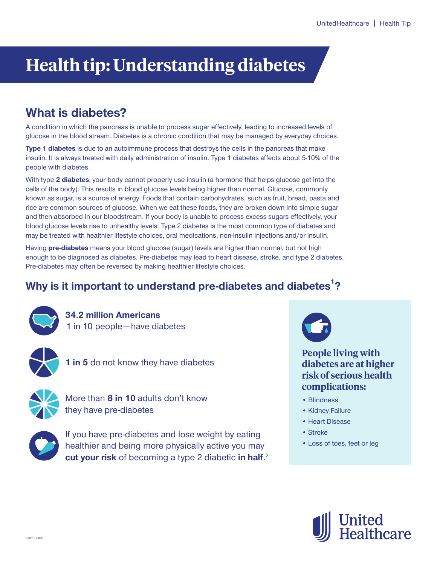# **Health tip: Understanding diabetes**

# **What is diabetes?**

**A condition in which the pancreas is unable to process sugar effectively, leading to increased levels of glucose in the blood stream. Diabetes is a chronic condition that may be managed by everyday choices.**

**Type 1 diabetes is due to an autoimmune process that destroys the cells in the pancreas that make insulin. It is always treated with daily administration of insulin. Type 1 diabetes affects about 5-10% of the people with diabetes.** 

**With type 2 diabetes, your body cannot properly use insulin (a hormone that helps glucose get into the cells of the body). This results in blood glucose levels being higher than normal. Glucose, commonly known as sugar, is a source of energy. Foods that contain carbohydrates, such as fruit, bread, pasta and rice are common sources of glucose. When we eat these foods, they are broken down into simple sugar and then absorbed in our bloodstream. If your body is unable to process excess sugars effectively, your blood glucose levels rise to unhealthy levels. Type 2 diabetes is the most common type of diabetes and may be treated with healthier lifestyle choices, oral medications, non-insulin injections and/or insulin.**

**Having pre-diabetes means your blood glucose (sugar) levels are higher than normal, but not high enough to be diagnosed as diabetes. Pre-diabetes may lead to heart disease, stroke, and type 2 diabetes. Pre-diabetes may often be reversed by making healthier lifestyle choices.** 

# **Why is it important to understand pre-diabetes and diabetes ? 1**



**34.2 million Americans 1 in 10 people — have diabetes**



**1 in 5 do not know they have diabetes**



**More than 8 in 10 adults don't know they have pre-diabetes**



**If you have pre-diabetes and lose weight by eating healthier and being more physically active you may cut your risk of becoming a type 2 diabetic in half. 2**



**People living with diabetes are at higher risk of serious health complications:**

- **• Blindness**
- **Kidney Failure**
- **Heart Disease**
- **Stroke**
- **Loss of toes, feet or leg**